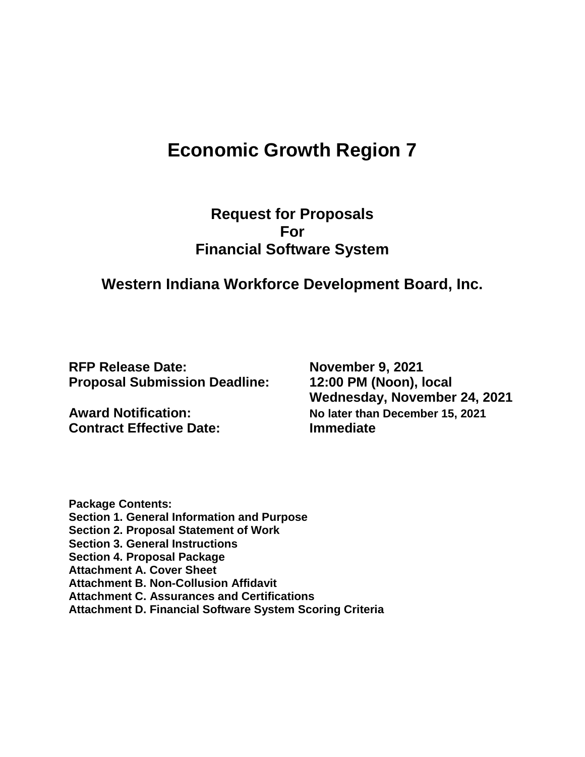# **Economic Growth Region 7**

# **Request for Proposals For Financial Software System**

# **Western Indiana Workforce Development Board, Inc.**

**RFP Release Date: November 9, 2021 Proposal Submission Deadline: 12:00 PM (Noon), local** 

**Contract Effective Date: Immediate** 

**Wednesday, November 24, 2021 Award Notification: No later than December 15, 2021**

**Package Contents: Section 1. General Information and Purpose Section 2. Proposal Statement of Work Section 3. General Instructions Section 4. Proposal Package Attachment A. Cover Sheet Attachment B. Non-Collusion Affidavit Attachment C. Assurances and Certifications Attachment D. Financial Software System Scoring Criteria**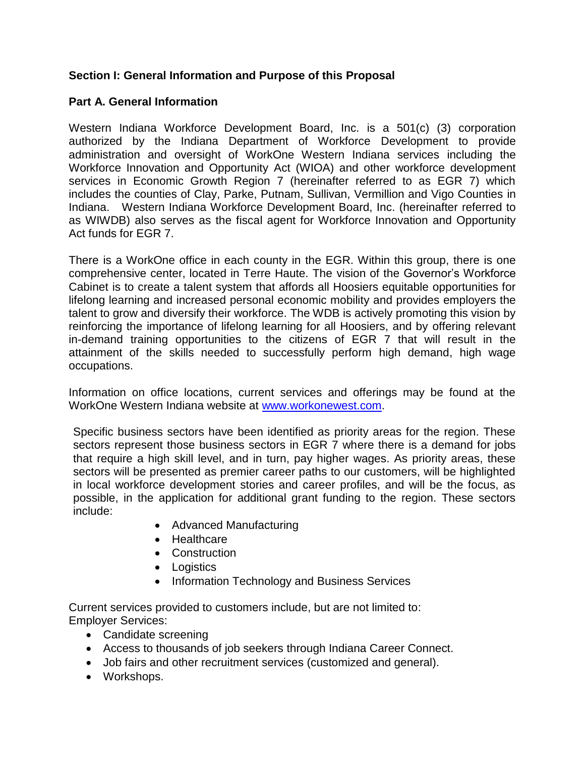#### **Section I: General Information and Purpose of this Proposal**

#### **Part A. General Information**

Western Indiana Workforce Development Board, Inc. is a 501(c) (3) corporation authorized by the Indiana Department of Workforce Development to provide administration and oversight of WorkOne Western Indiana services including the Workforce Innovation and Opportunity Act (WIOA) and other workforce development services in Economic Growth Region 7 (hereinafter referred to as EGR 7) which includes the counties of Clay, Parke, Putnam, Sullivan, Vermillion and Vigo Counties in Indiana. Western Indiana Workforce Development Board, Inc. (hereinafter referred to as WIWDB) also serves as the fiscal agent for Workforce Innovation and Opportunity Act funds for EGR 7.

There is a WorkOne office in each county in the EGR. Within this group, there is one comprehensive center, located in Terre Haute. The vision of the Governor's Workforce Cabinet is to create a talent system that affords all Hoosiers equitable opportunities for lifelong learning and increased personal economic mobility and provides employers the talent to grow and diversify their workforce. The WDB is actively promoting this vision by reinforcing the importance of lifelong learning for all Hoosiers, and by offering relevant in-demand training opportunities to the citizens of EGR 7 that will result in the attainment of the skills needed to successfully perform high demand, high wage occupations.

Information on office locations, current services and offerings may be found at the WorkOne Western Indiana website at [www.workonewest.com.](http://www.workonewest.com/)

Specific business sectors have been identified as priority areas for the region. These sectors represent those business sectors in EGR 7 where there is a demand for jobs that require a high skill level, and in turn, pay higher wages. As priority areas, these sectors will be presented as premier career paths to our customers, will be highlighted in local workforce development stories and career profiles, and will be the focus, as possible, in the application for additional grant funding to the region. These sectors include:

- Advanced Manufacturing
- Healthcare
- Construction
- Logistics
- Information Technology and Business Services

Current services provided to customers include, but are not limited to: Employer Services:

- Candidate screening
- Access to thousands of job seekers through Indiana Career Connect.
- Job fairs and other recruitment services (customized and general).
- Workshops.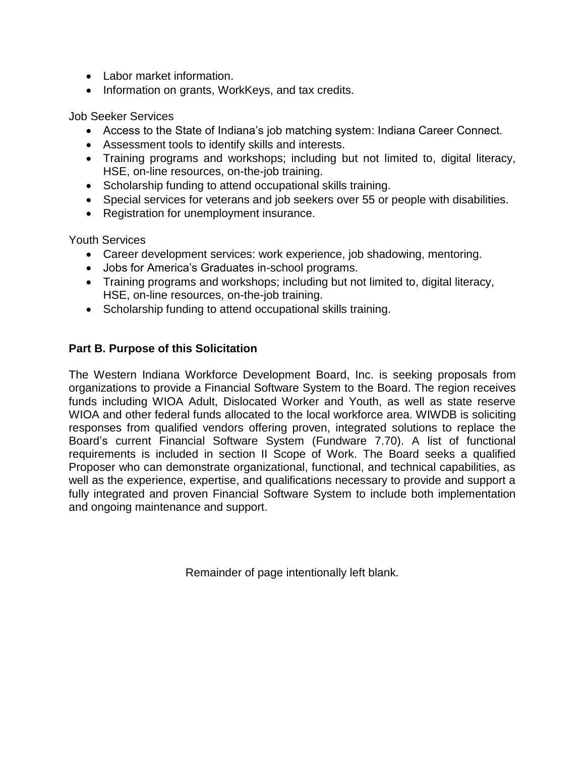- Labor market information.
- Information on grants, WorkKeys, and tax credits.

Job Seeker Services

- Access to the State of Indiana's job matching system: Indiana Career Connect.
- Assessment tools to identify skills and interests.
- Training programs and workshops; including but not limited to, digital literacy, HSE, on-line resources, on-the-job training.
- Scholarship funding to attend occupational skills training.
- Special services for veterans and job seekers over 55 or people with disabilities.
- Registration for unemployment insurance.

Youth Services

- Career development services: work experience, job shadowing, mentoring.
- Jobs for America's Graduates in-school programs.
- Training programs and workshops; including but not limited to, digital literacy, HSE, on-line resources, on-the-job training.
- Scholarship funding to attend occupational skills training.

#### **Part B. Purpose of this Solicitation**

The Western Indiana Workforce Development Board, Inc. is seeking proposals from organizations to provide a Financial Software System to the Board. The region receives funds including WIOA Adult, Dislocated Worker and Youth, as well as state reserve WIOA and other federal funds allocated to the local workforce area. WIWDB is soliciting responses from qualified vendors offering proven, integrated solutions to replace the Board's current Financial Software System (Fundware 7.70). A list of functional requirements is included in section II Scope of Work. The Board seeks a qualified Proposer who can demonstrate organizational, functional, and technical capabilities, as well as the experience, expertise, and qualifications necessary to provide and support a fully integrated and proven Financial Software System to include both implementation and ongoing maintenance and support.

Remainder of page intentionally left blank.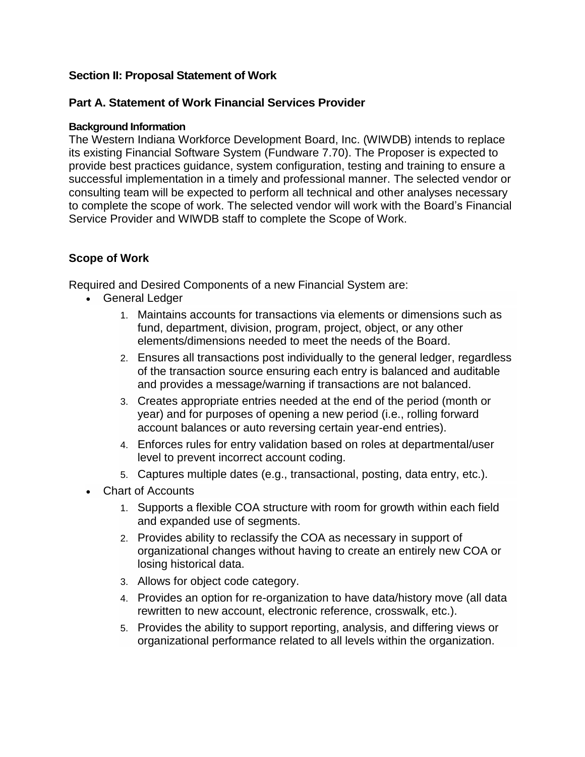#### **Section II: Proposal Statement of Work**

#### **Part A. Statement of Work Financial Services Provider**

#### **Background Information**

The Western Indiana Workforce Development Board, Inc. (WIWDB) intends to replace its existing Financial Software System (Fundware 7.70). The Proposer is expected to provide best practices guidance, system configuration, testing and training to ensure a successful implementation in a timely and professional manner. The selected vendor or consulting team will be expected to perform all technical and other analyses necessary to complete the scope of work. The selected vendor will work with the Board's Financial Service Provider and WIWDB staff to complete the Scope of Work.

#### **Scope of Work**

Required and Desired Components of a new Financial System are:

- General Ledger
	- 1. Maintains accounts for transactions via elements or dimensions such as fund, department, division, program, project, object, or any other elements/dimensions needed to meet the needs of the Board.
	- 2. Ensures all transactions post individually to the general ledger, regardless of the transaction source ensuring each entry is balanced and auditable and provides a message/warning if transactions are not balanced.
	- 3. Creates appropriate entries needed at the end of the period (month or year) and for purposes of opening a new period (i.e., rolling forward account balances or auto reversing certain year-end entries).
	- 4. Enforces rules for entry validation based on roles at departmental/user level to prevent incorrect account coding.
	- 5. Captures multiple dates (e.g., transactional, posting, data entry, etc.).
- Chart of Accounts
	- 1. Supports a flexible COA structure with room for growth within each field and expanded use of segments.
	- 2. Provides ability to reclassify the COA as necessary in support of organizational changes without having to create an entirely new COA or losing historical data.
	- 3. Allows for object code category.
	- 4. Provides an option for re-organization to have data/history move (all data rewritten to new account, electronic reference, crosswalk, etc.).
	- 5. Provides the ability to support reporting, analysis, and differing views or organizational performance related to all levels within the organization.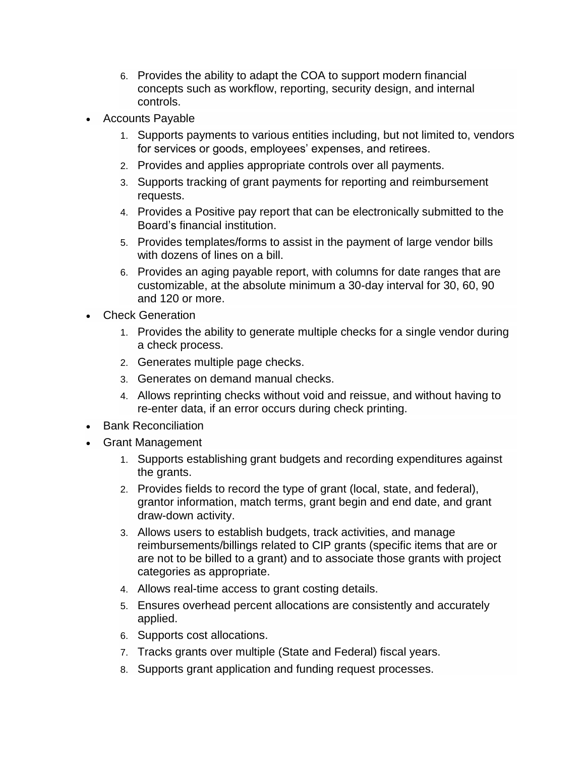- 6. Provides the ability to adapt the COA to support modern financial concepts such as workflow, reporting, security design, and internal controls.
- Accounts Payable
	- 1. Supports payments to various entities including, but not limited to, vendors for services or goods, employees' expenses, and retirees.
	- 2. Provides and applies appropriate controls over all payments.
	- 3. Supports tracking of grant payments for reporting and reimbursement requests.
	- 4. Provides a Positive pay report that can be electronically submitted to the Board's financial institution.
	- 5. Provides templates/forms to assist in the payment of large vendor bills with dozens of lines on a bill.
	- 6. Provides an aging payable report, with columns for date ranges that are customizable, at the absolute minimum a 30-day interval for 30, 60, 90 and 120 or more.
- Check Generation
	- 1. Provides the ability to generate multiple checks for a single vendor during a check process.
	- 2. Generates multiple page checks.
	- 3. Generates on demand manual checks.
	- 4. Allows reprinting checks without void and reissue, and without having to re-enter data, if an error occurs during check printing.
- Bank Reconciliation
- Grant Management
	- 1. Supports establishing grant budgets and recording expenditures against the grants.
	- 2. Provides fields to record the type of grant (local, state, and federal), grantor information, match terms, grant begin and end date, and grant draw-down activity.
	- 3. Allows users to establish budgets, track activities, and manage reimbursements/billings related to CIP grants (specific items that are or are not to be billed to a grant) and to associate those grants with project categories as appropriate.
	- 4. Allows real-time access to grant costing details.
	- 5. Ensures overhead percent allocations are consistently and accurately applied.
	- 6. Supports cost allocations.
	- 7. Tracks grants over multiple (State and Federal) fiscal years.
	- 8. Supports grant application and funding request processes.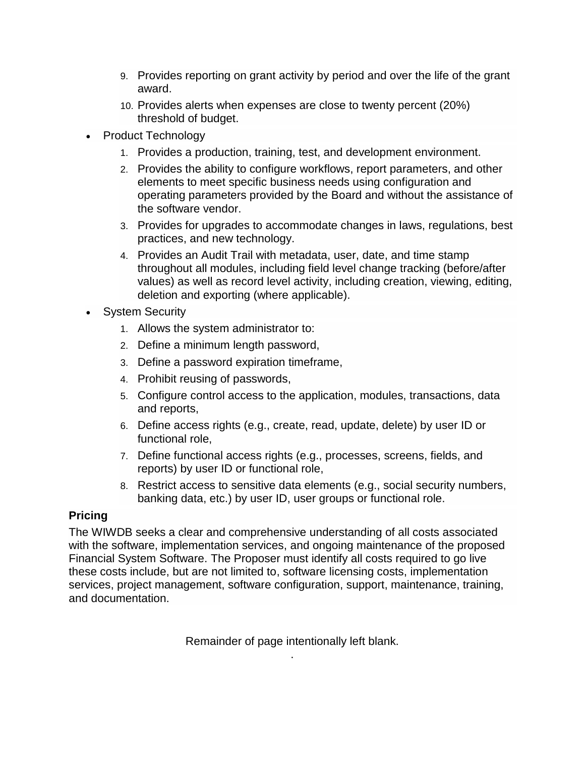- 9. Provides reporting on grant activity by period and over the life of the grant award.
- 10. Provides alerts when expenses are close to twenty percent (20%) threshold of budget.
- Product Technology
	- 1. Provides a production, training, test, and development environment.
	- 2. Provides the ability to configure workflows, report parameters, and other elements to meet specific business needs using configuration and operating parameters provided by the Board and without the assistance of the software vendor.
	- 3. Provides for upgrades to accommodate changes in laws, regulations, best practices, and new technology.
	- 4. Provides an Audit Trail with metadata, user, date, and time stamp throughout all modules, including field level change tracking (before/after values) as well as record level activity, including creation, viewing, editing, deletion and exporting (where applicable).
- System Security
	- 1. Allows the system administrator to:
	- 2. Define a minimum length password,
	- 3. Define a password expiration timeframe,
	- 4. Prohibit reusing of passwords,
	- 5. Configure control access to the application, modules, transactions, data and reports,
	- 6. Define access rights (e.g., create, read, update, delete) by user ID or functional role,
	- 7. Define functional access rights (e.g., processes, screens, fields, and reports) by user ID or functional role,
	- 8. Restrict access to sensitive data elements (e.g., social security numbers, banking data, etc.) by user ID, user groups or functional role.

## **Pricing**

The WIWDB seeks a clear and comprehensive understanding of all costs associated with the software, implementation services, and ongoing maintenance of the proposed Financial System Software. The Proposer must identify all costs required to go live these costs include, but are not limited to, software licensing costs, implementation services, project management, software configuration, support, maintenance, training, and documentation.

> Remainder of page intentionally left blank. .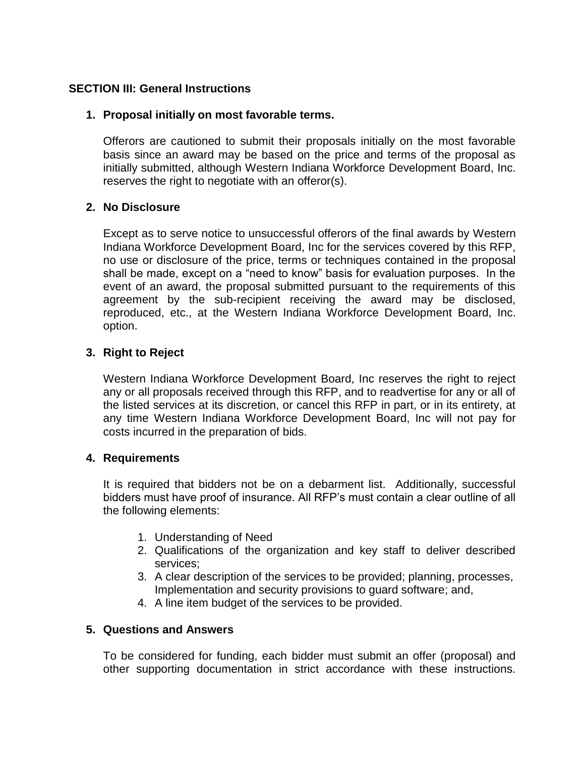#### **SECTION III: General Instructions**

#### **1. Proposal initially on most favorable terms.**

Offerors are cautioned to submit their proposals initially on the most favorable basis since an award may be based on the price and terms of the proposal as initially submitted, although Western Indiana Workforce Development Board, Inc. reserves the right to negotiate with an offeror(s).

#### **2. No Disclosure**

Except as to serve notice to unsuccessful offerors of the final awards by Western Indiana Workforce Development Board, Inc for the services covered by this RFP, no use or disclosure of the price, terms or techniques contained in the proposal shall be made, except on a "need to know" basis for evaluation purposes. In the event of an award, the proposal submitted pursuant to the requirements of this agreement by the sub-recipient receiving the award may be disclosed, reproduced, etc., at the Western Indiana Workforce Development Board, Inc. option.

#### **3. Right to Reject**

Western Indiana Workforce Development Board, Inc reserves the right to reject any or all proposals received through this RFP, and to readvertise for any or all of the listed services at its discretion, or cancel this RFP in part, or in its entirety, at any time Western Indiana Workforce Development Board, Inc will not pay for costs incurred in the preparation of bids.

#### **4. Requirements**

It is required that bidders not be on a debarment list. Additionally, successful bidders must have proof of insurance. All RFP's must contain a clear outline of all the following elements:

- 1. Understanding of Need
- 2. Qualifications of the organization and key staff to deliver described services;
- 3. A clear description of the services to be provided; planning, processes, Implementation and security provisions to guard software; and,
- 4. A line item budget of the services to be provided.

#### **5. Questions and Answers**

To be considered for funding, each bidder must submit an offer (proposal) and other supporting documentation in strict accordance with these instructions.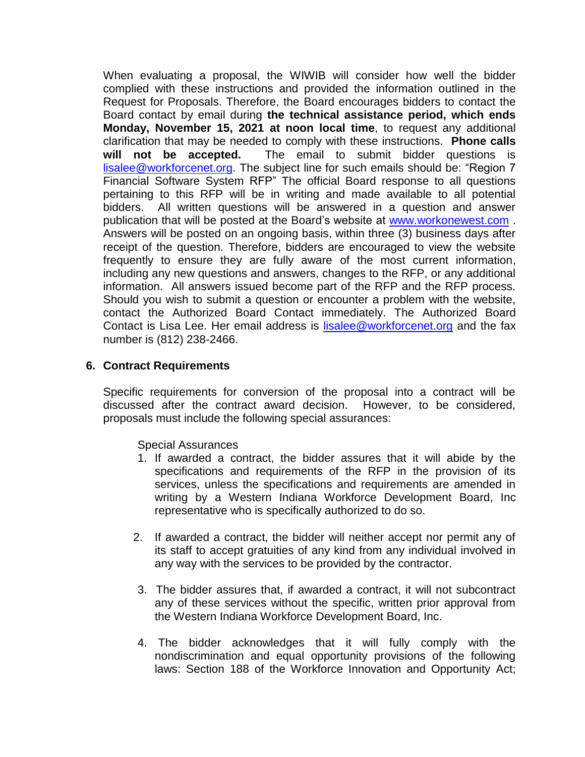When evaluating a proposal, the WIWIB will consider how well the bidder complied with these instructions and provided the information outlined in the Request for Proposals. Therefore, the Board encourages bidders to contact the Board contact by email during **the technical assistance period, which ends Monday, November 15, 2021 at noon local time**, to request any additional clarification that may be needed to comply with these instructions. **Phone calls will not be accepted.** The email to submit bidder questions is [lisalee@workforcenet.org.](mailto:lisalee@workforcenet.org) The subject line for such emails should be: "Region 7 Financial Software System RFP" The official Board response to all questions pertaining to this RFP will be in writing and made available to all potential bidders. All written questions will be answered in a question and answer publication that will be posted at the Board's website at [www.workonewest.com](http://www.workonewest.com/). Answers will be posted on an ongoing basis, within three (3) business days after receipt of the question. Therefore, bidders are encouraged to view the website frequently to ensure they are fully aware of the most current information, including any new questions and answers, changes to the RFP, or any additional information. All answers issued become part of the RFP and the RFP process. Should you wish to submit a question or encounter a problem with the website, contact the Authorized Board Contact immediately. The Authorized Board Contact is Lisa Lee. Her email address is [lisalee@workforcenet.org](mailto:lisalee@workforcenet.org) and the fax number is (812) 238-2466.

#### **6. Contract Requirements**

Specific requirements for conversion of the proposal into a contract will be discussed after the contract award decision. However, to be considered, proposals must include the following special assurances:

#### Special Assurances

- 1. If awarded a contract, the bidder assures that it will abide by the specifications and requirements of the RFP in the provision of its services, unless the specifications and requirements are amended in writing by a Western Indiana Workforce Development Board, Inc representative who is specifically authorized to do so.
- 2. If awarded a contract, the bidder will neither accept nor permit any of its staff to accept gratuities of any kind from any individual involved in any way with the services to be provided by the contractor.
- 3. The bidder assures that, if awarded a contract, it will not subcontract any of these services without the specific, written prior approval from the Western Indiana Workforce Development Board, Inc.
- 4. The bidder acknowledges that it will fully comply with the nondiscrimination and equal opportunity provisions of the following laws: Section 188 of the Workforce Innovation and Opportunity Act;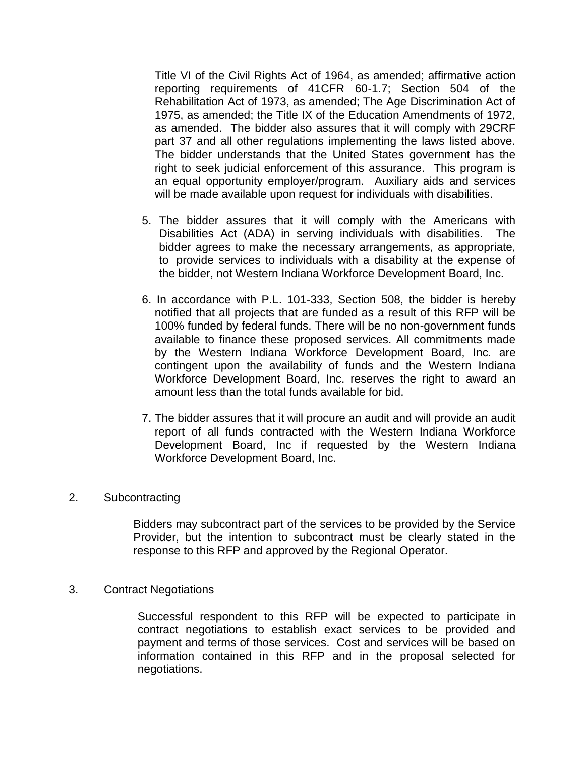Title VI of the Civil Rights Act of 1964, as amended; affirmative action reporting requirements of 41CFR 60-1.7; Section 504 of the Rehabilitation Act of 1973, as amended; The Age Discrimination Act of 1975, as amended; the Title IX of the Education Amendments of 1972, as amended. The bidder also assures that it will comply with 29CRF part 37 and all other regulations implementing the laws listed above. The bidder understands that the United States government has the right to seek judicial enforcement of this assurance. This program is an equal opportunity employer/program. Auxiliary aids and services will be made available upon request for individuals with disabilities.

- 5. The bidder assures that it will comply with the Americans with Disabilities Act (ADA) in serving individuals with disabilities. The bidder agrees to make the necessary arrangements, as appropriate, to provide services to individuals with a disability at the expense of the bidder, not Western Indiana Workforce Development Board, Inc.
- 6. In accordance with P.L. 101-333, Section 508, the bidder is hereby notified that all projects that are funded as a result of this RFP will be 100% funded by federal funds. There will be no non-government funds available to finance these proposed services. All commitments made by the Western Indiana Workforce Development Board, Inc. are contingent upon the availability of funds and the Western Indiana Workforce Development Board, Inc. reserves the right to award an amount less than the total funds available for bid.
- 7. The bidder assures that it will procure an audit and will provide an audit report of all funds contracted with the Western Indiana Workforce Development Board, Inc if requested by the Western Indiana Workforce Development Board, Inc.

#### 2. Subcontracting

Bidders may subcontract part of the services to be provided by the Service Provider, but the intention to subcontract must be clearly stated in the response to this RFP and approved by the Regional Operator.

3. Contract Negotiations

Successful respondent to this RFP will be expected to participate in contract negotiations to establish exact services to be provided and payment and terms of those services. Cost and services will be based on information contained in this RFP and in the proposal selected for negotiations.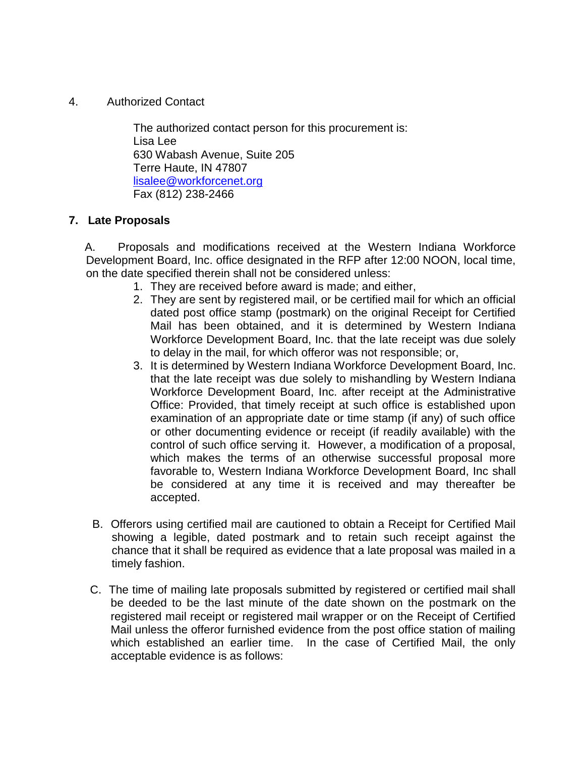4. Authorized Contact

 The authorized contact person for this procurement is: Lisa Lee 630 Wabash Avenue, Suite 205 Terre Haute, IN 47807 [lisalee@workforcenet.org](mailto:lisalee@workforcenet.org) Fax (812) 238-2466

#### **7. Late Proposals**

A. Proposals and modifications received at the Western Indiana Workforce Development Board, Inc. office designated in the RFP after 12:00 NOON, local time, on the date specified therein shall not be considered unless:

- 1. They are received before award is made; and either,
- 2. They are sent by registered mail, or be certified mail for which an official dated post office stamp (postmark) on the original Receipt for Certified Mail has been obtained, and it is determined by Western Indiana Workforce Development Board, Inc. that the late receipt was due solely to delay in the mail, for which offeror was not responsible; or,
- 3. It is determined by Western Indiana Workforce Development Board, Inc. that the late receipt was due solely to mishandling by Western Indiana Workforce Development Board, Inc. after receipt at the Administrative Office: Provided, that timely receipt at such office is established upon examination of an appropriate date or time stamp (if any) of such office or other documenting evidence or receipt (if readily available) with the control of such office serving it. However, a modification of a proposal, which makes the terms of an otherwise successful proposal more favorable to, Western Indiana Workforce Development Board, Inc shall be considered at any time it is received and may thereafter be accepted.
- B. Offerors using certified mail are cautioned to obtain a Receipt for Certified Mail showing a legible, dated postmark and to retain such receipt against the chance that it shall be required as evidence that a late proposal was mailed in a timely fashion.
- C. The time of mailing late proposals submitted by registered or certified mail shall be deeded to be the last minute of the date shown on the postmark on the registered mail receipt or registered mail wrapper or on the Receipt of Certified Mail unless the offeror furnished evidence from the post office station of mailing which established an earlier time. In the case of Certified Mail, the only acceptable evidence is as follows: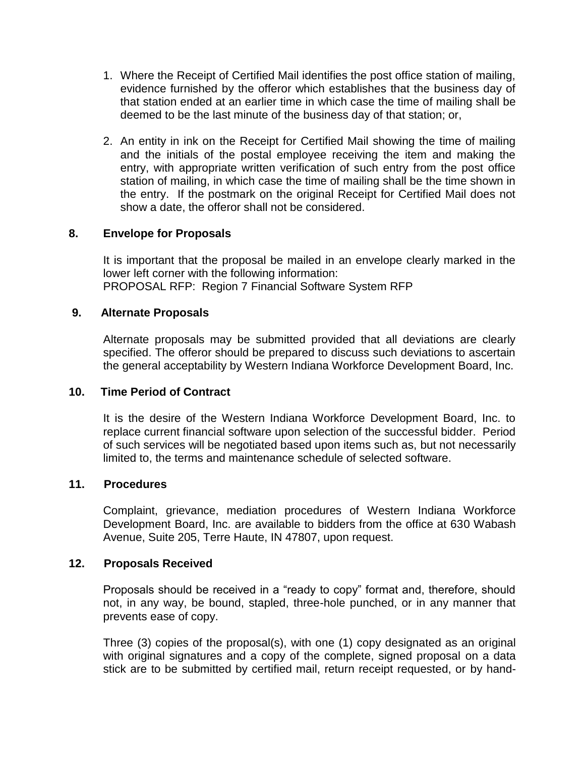- 1. Where the Receipt of Certified Mail identifies the post office station of mailing, evidence furnished by the offeror which establishes that the business day of that station ended at an earlier time in which case the time of mailing shall be deemed to be the last minute of the business day of that station; or,
- 2. An entity in ink on the Receipt for Certified Mail showing the time of mailing and the initials of the postal employee receiving the item and making the entry, with appropriate written verification of such entry from the post office station of mailing, in which case the time of mailing shall be the time shown in the entry. If the postmark on the original Receipt for Certified Mail does not show a date, the offeror shall not be considered.

#### **8. Envelope for Proposals**

It is important that the proposal be mailed in an envelope clearly marked in the lower left corner with the following information: PROPOSAL RFP: Region 7 Financial Software System RFP

#### **9. Alternate Proposals**

Alternate proposals may be submitted provided that all deviations are clearly specified. The offeror should be prepared to discuss such deviations to ascertain the general acceptability by Western Indiana Workforce Development Board, Inc.

#### **10. Time Period of Contract**

It is the desire of the Western Indiana Workforce Development Board, Inc. to replace current financial software upon selection of the successful bidder. Period of such services will be negotiated based upon items such as, but not necessarily limited to, the terms and maintenance schedule of selected software.

#### **11. Procedures**

Complaint, grievance, mediation procedures of Western Indiana Workforce Development Board, Inc. are available to bidders from the office at 630 Wabash Avenue, Suite 205, Terre Haute, IN 47807, upon request.

#### **12. Proposals Received**

Proposals should be received in a "ready to copy" format and, therefore, should not, in any way, be bound, stapled, three-hole punched, or in any manner that prevents ease of copy.

Three (3) copies of the proposal(s), with one (1) copy designated as an original with original signatures and a copy of the complete, signed proposal on a data stick are to be submitted by certified mail, return receipt requested, or by hand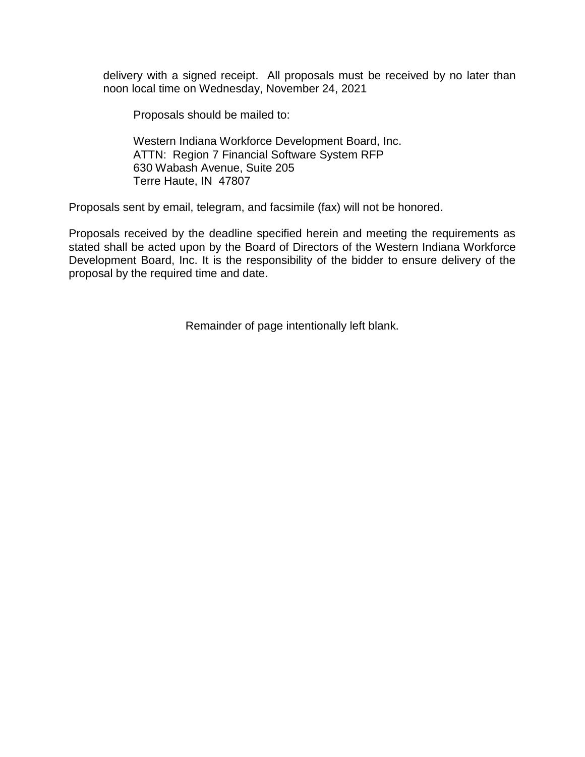delivery with a signed receipt. All proposals must be received by no later than noon local time on Wednesday, November 24, 2021

Proposals should be mailed to:

Western Indiana Workforce Development Board, Inc. ATTN: Region 7 Financial Software System RFP 630 Wabash Avenue, Suite 205 Terre Haute, IN 47807

Proposals sent by email, telegram, and facsimile (fax) will not be honored.

Proposals received by the deadline specified herein and meeting the requirements as stated shall be acted upon by the Board of Directors of the Western Indiana Workforce Development Board, Inc. It is the responsibility of the bidder to ensure delivery of the proposal by the required time and date.

Remainder of page intentionally left blank.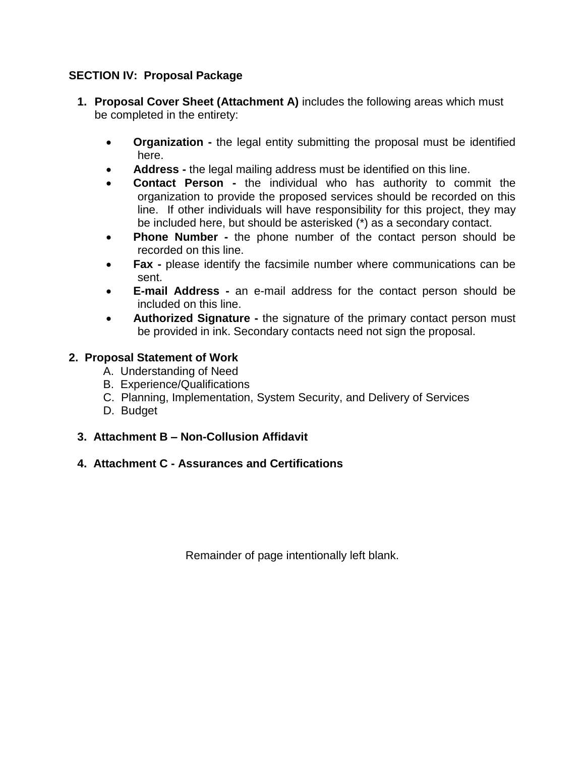## **SECTION IV: Proposal Package**

- **1. Proposal Cover Sheet (Attachment A)** includes the following areas which must be completed in the entirety:
	- **Organization -** the legal entity submitting the proposal must be identified here.
	- **Address -** the legal mailing address must be identified on this line.
	- **Contact Person -** the individual who has authority to commit the organization to provide the proposed services should be recorded on this line. If other individuals will have responsibility for this project, they may be included here, but should be asterisked (\*) as a secondary contact.
	- **Phone Number -** the phone number of the contact person should be recorded on this line.
	- **Fax -** please identify the facsimile number where communications can be sent.
	- **E-mail Address -** an e-mail address for the contact person should be included on this line.
	- **Authorized Signature -** the signature of the primary contact person must be provided in ink. Secondary contacts need not sign the proposal.

## **2. Proposal Statement of Work**

- A. Understanding of Need
- B. Experience/Qualifications
- C. Planning, Implementation, System Security, and Delivery of Services
- D. Budget
- **3. Attachment B – Non-Collusion Affidavit**
- **4. Attachment C - Assurances and Certifications**

Remainder of page intentionally left blank.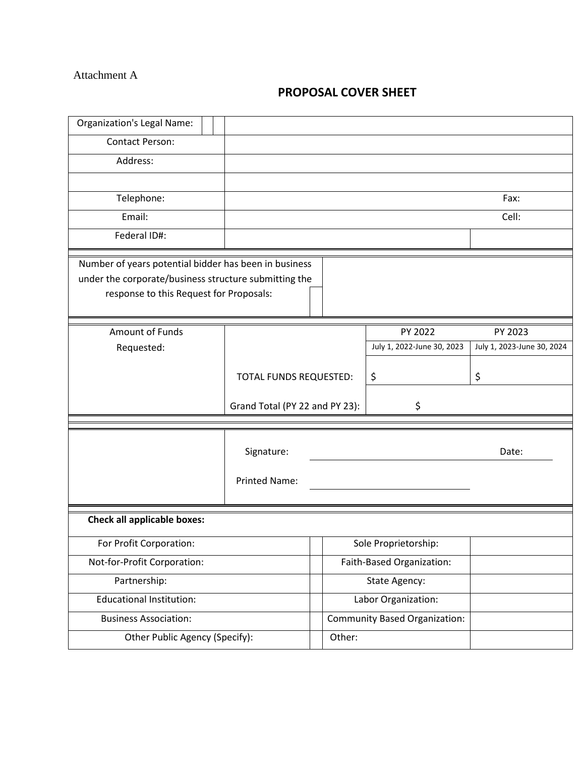#### Attachment A

# **PROPOSAL COVER SHEET**

| <b>Organization's Legal Name:</b>                                                                                                                         |                                |                           |                                      |                            |  |
|-----------------------------------------------------------------------------------------------------------------------------------------------------------|--------------------------------|---------------------------|--------------------------------------|----------------------------|--|
| Contact Person:                                                                                                                                           |                                |                           |                                      |                            |  |
| Address:                                                                                                                                                  |                                |                           |                                      |                            |  |
|                                                                                                                                                           |                                |                           |                                      |                            |  |
| Telephone:                                                                                                                                                |                                |                           |                                      | Fax:                       |  |
| Email:                                                                                                                                                    |                                |                           |                                      | Cell:                      |  |
| Federal ID#:                                                                                                                                              |                                |                           |                                      |                            |  |
| Number of years potential bidder has been in business<br>under the corporate/business structure submitting the<br>response to this Request for Proposals: |                                |                           |                                      |                            |  |
| Amount of Funds                                                                                                                                           |                                |                           | PY 2022                              | PY 2023                    |  |
| Requested:                                                                                                                                                |                                |                           | July 1, 2022-June 30, 2023           | July 1, 2023-June 30, 2024 |  |
|                                                                                                                                                           | TOTAL FUNDS REQUESTED:         |                           | \$                                   | \$                         |  |
|                                                                                                                                                           | Grand Total (PY 22 and PY 23): |                           | \$                                   |                            |  |
|                                                                                                                                                           |                                |                           |                                      |                            |  |
|                                                                                                                                                           | Signature:                     |                           |                                      | Date:                      |  |
|                                                                                                                                                           | <b>Printed Name:</b>           |                           |                                      |                            |  |
| <b>Check all applicable boxes:</b>                                                                                                                        |                                |                           |                                      |                            |  |
| For Profit Corporation:                                                                                                                                   |                                | Sole Proprietorship:      |                                      |                            |  |
| Not-for-Profit Corporation:                                                                                                                               |                                | Faith-Based Organization: |                                      |                            |  |
| Partnership:                                                                                                                                              |                                |                           | State Agency:                        |                            |  |
| <b>Educational Institution:</b>                                                                                                                           |                                |                           | Labor Organization:                  |                            |  |
| <b>Business Association:</b>                                                                                                                              |                                |                           | <b>Community Based Organization:</b> |                            |  |
| Other Public Agency (Specify):                                                                                                                            |                                | Other:                    |                                      |                            |  |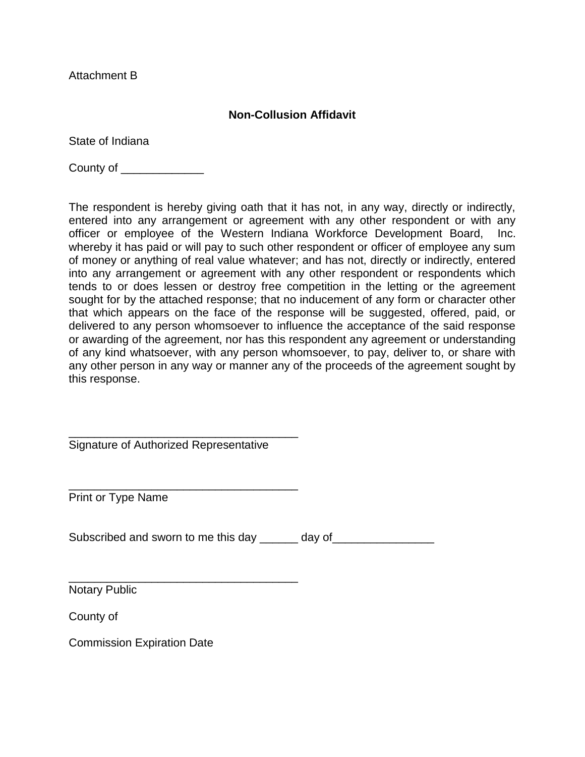Attachment B

#### **Non-Collusion Affidavit**

State of Indiana

County of \_\_\_\_\_\_\_\_\_\_\_\_\_

The respondent is hereby giving oath that it has not, in any way, directly or indirectly, entered into any arrangement or agreement with any other respondent or with any officer or employee of the Western Indiana Workforce Development Board, Inc. whereby it has paid or will pay to such other respondent or officer of employee any sum of money or anything of real value whatever; and has not, directly or indirectly, entered into any arrangement or agreement with any other respondent or respondents which tends to or does lessen or destroy free competition in the letting or the agreement sought for by the attached response; that no inducement of any form or character other that which appears on the face of the response will be suggested, offered, paid, or delivered to any person whomsoever to influence the acceptance of the said response or awarding of the agreement, nor has this respondent any agreement or understanding of any kind whatsoever, with any person whomsoever, to pay, deliver to, or share with any other person in any way or manner any of the proceeds of the agreement sought by this response.

\_\_\_\_\_\_\_\_\_\_\_\_\_\_\_\_\_\_\_\_\_\_\_\_\_\_\_\_\_\_\_\_\_\_\_\_ Signature of Authorized Representative

\_\_\_\_\_\_\_\_\_\_\_\_\_\_\_\_\_\_\_\_\_\_\_\_\_\_\_\_\_\_\_\_\_\_\_\_

\_\_\_\_\_\_\_\_\_\_\_\_\_\_\_\_\_\_\_\_\_\_\_\_\_\_\_\_\_\_\_\_\_\_\_\_

Print or Type Name

Subscribed and sworn to me this day \_\_\_\_\_\_ day of \_\_\_\_\_\_\_\_\_\_\_\_\_\_\_

Notary Public

County of

Commission Expiration Date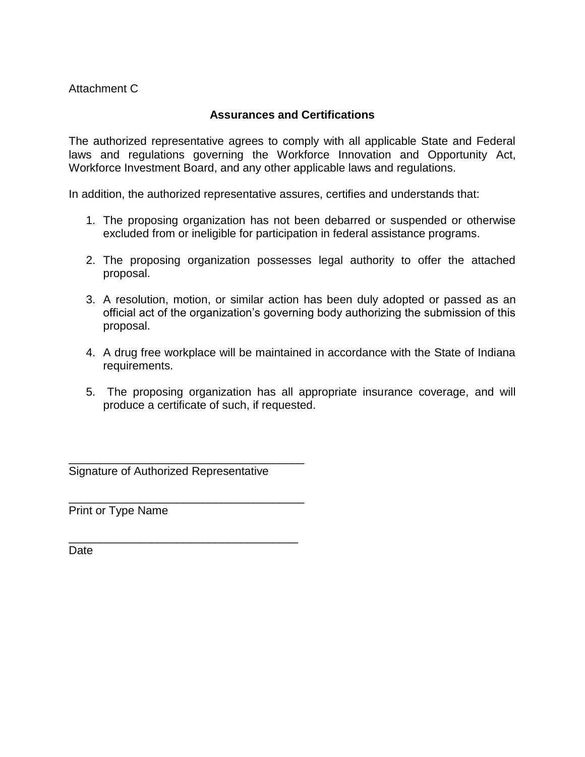Attachment C

#### **Assurances and Certifications**

The authorized representative agrees to comply with all applicable State and Federal laws and regulations governing the Workforce Innovation and Opportunity Act, Workforce Investment Board, and any other applicable laws and regulations.

In addition, the authorized representative assures, certifies and understands that:

- 1. The proposing organization has not been debarred or suspended or otherwise excluded from or ineligible for participation in federal assistance programs.
- 2. The proposing organization possesses legal authority to offer the attached proposal.
- 3. A resolution, motion, or similar action has been duly adopted or passed as an official act of the organization's governing body authorizing the submission of this proposal.
- 4. A drug free workplace will be maintained in accordance with the State of Indiana requirements.
- 5. The proposing organization has all appropriate insurance coverage, and will produce a certificate of such, if requested.

\_\_\_\_\_\_\_\_\_\_\_\_\_\_\_\_\_\_\_\_\_\_\_\_\_\_\_\_\_\_\_\_\_\_\_\_\_ Signature of Authorized Representative

\_\_\_\_\_\_\_\_\_\_\_\_\_\_\_\_\_\_\_\_\_\_\_\_\_\_\_\_\_\_\_\_\_\_\_\_\_

\_\_\_\_\_\_\_\_\_\_\_\_\_\_\_\_\_\_\_\_\_\_\_\_\_\_\_\_\_\_\_\_\_\_\_\_

Print or Type Name

**Date**